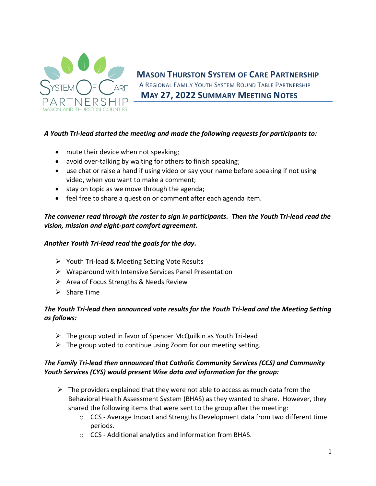

**MASON THURSTON SYSTEM OF CARE PARTNERSHIP** A REGIONAL FAMILY YOUTH SYSTEM ROUND TABLE PARTNERSHIP **MAY 27, 2022 SUMMARY MEETING NOTES**

## *A Youth Tri-lead started the meeting and made the following requests for participants to:*

- mute their device when not speaking;
- avoid over-talking by waiting for others to finish speaking;
- use chat or raise a hand if using video or say your name before speaking if not using video, when you want to make a comment;
- stay on topic as we move through the agenda;
- feel free to share a question or comment after each agenda item.

## *The convener read through the roster to sign in participants. Then the Youth Tri-lead read the vision, mission and eight-part comfort agreement.*

### *Another Youth Tri-lead read the goals for the day.*

- Youth Tri-lead & Meeting Setting Vote Results
- $\triangleright$  Wraparound with Intensive Services Panel Presentation
- $\triangleright$  Area of Focus Strengths & Needs Review
- $\triangleright$  Share Time

## *The Youth Tri-lead then announced vote results for the Youth Tri-lead and the Meeting Setting as follows:*

- $\triangleright$  The group voted in favor of Spencer McQuilkin as Youth Tri-lead
- $\triangleright$  The group voted to continue using Zoom for our meeting setting.

## *The Family Tri-lead then announced that Catholic Community Services (CCS) and Community Youth Services (CYS) would present Wise data and information for the group:*

- $\triangleright$  The providers explained that they were not able to access as much data from the Behavioral Health Assessment System (BHAS) as they wanted to share. However, they shared the following items that were sent to the group after the meeting:
	- $\circ$  CCS Average Impact and Strengths Development data from two different time periods.
	- o CCS Additional analytics and information from BHAS.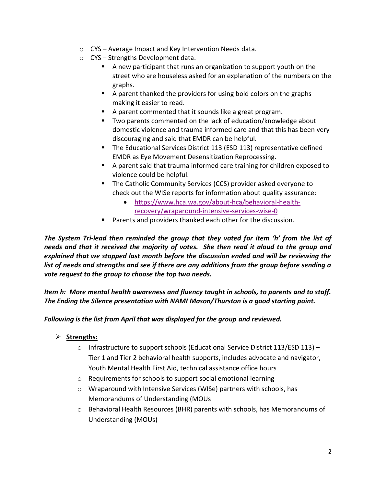- o CYS Average Impact and Key Intervention Needs data.
- o CYS Strengths Development data.
	- A new participant that runs an organization to support youth on the street who are houseless asked for an explanation of the numbers on the graphs.
	- A parent thanked the providers for using bold colors on the graphs making it easier to read.
	- A parent commented that it sounds like a great program.
	- Two parents commented on the lack of education/knowledge about domestic violence and trauma informed care and that this has been very discouraging and said that EMDR can be helpful.
	- The Educational Services District 113 (ESD 113) representative defined EMDR as Eye Movement Desensitization Reprocessing.
	- A parent said that trauma informed care training for children exposed to violence could be helpful.
	- **The Catholic Community Services (CCS) provider asked everyone to** check out the WISe reports for information about quality assurance:
		- [https://www.hca.wa.gov/about-hca/behavioral-health](https://www.hca.wa.gov/about-hca/behavioral-health-recovery/wraparound-intensive-services-wise-0)[recovery/wraparound-intensive-services-wise-0](https://www.hca.wa.gov/about-hca/behavioral-health-recovery/wraparound-intensive-services-wise-0)
	- **Parents and providers thanked each other for the discussion.**

*The System Tri-lead then reminded the group that they voted for item 'h' from the list of needs and that it received the majority of votes. She then read it aloud to the group and explained that we stopped last month before the discussion ended and will be reviewing the list of needs and strengths and see if there are any additions from the group before sending a vote request to the group to choose the top two needs.* 

*Item h: More mental health awareness and fluency taught in schools, to parents and to staff. The Ending the Silence presentation with NAMI Mason/Thurston is a good starting point.*

*Following is the list from April that was displayed for the group and reviewed.*

- **Strengths:**
	- o Infrastructure to support schools (Educational Service District 113/ESD 113) Tier 1 and Tier 2 behavioral health supports, includes advocate and navigator, Youth Mental Health First Aid, technical assistance office hours
	- o Requirements for schools to support social emotional learning
	- o Wraparound with Intensive Services (WISe) partners with schools, has Memorandums of Understanding (MOUs
	- o Behavioral Health Resources (BHR) parents with schools, has Memorandums of Understanding (MOUs)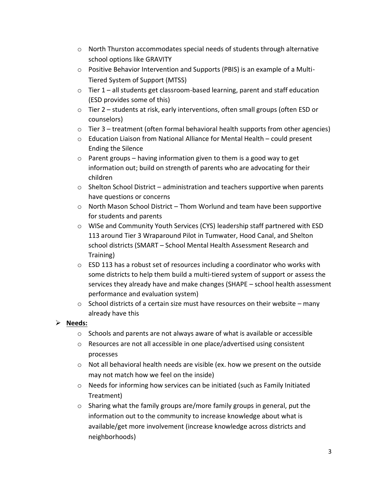- $\circ$  North Thurston accommodates special needs of students through alternative school options like GRAVITY
- o Positive Behavior Intervention and Supports (PBIS) is an example of a Multi-Tiered System of Support (MTSS)
- $\circ$  Tier 1 all students get classroom-based learning, parent and staff education (ESD provides some of this)
- $\circ$  Tier 2 students at risk, early interventions, often small groups (often ESD or counselors)
- $\circ$  Tier 3 treatment (often formal behavioral health supports from other agencies)
- $\circ$  Education Liaison from National Alliance for Mental Health could present Ending the Silence
- $\circ$  Parent groups having information given to them is a good way to get information out; build on strength of parents who are advocating for their children
- $\circ$  Shelton School District administration and teachers supportive when parents have questions or concerns
- $\circ$  North Mason School District Thom Worlund and team have been supportive for students and parents
- o WISe and Community Youth Services (CYS) leadership staff partnered with ESD 113 around Tier 3 Wraparound Pilot in Tumwater, Hood Canal, and Shelton school districts (SMART – School Mental Health Assessment Research and Training)
- $\circ$  ESD 113 has a robust set of resources including a coordinator who works with some districts to help them build a multi-tiered system of support or assess the services they already have and make changes (SHAPE – school health assessment performance and evaluation system)
- $\circ$  School districts of a certain size must have resources on their website many already have this
- **Needs:**
	- $\circ$  Schools and parents are not always aware of what is available or accessible
	- o Resources are not all accessible in one place/advertised using consistent processes
	- $\circ$  Not all behavioral health needs are visible (ex. how we present on the outside may not match how we feel on the inside)
	- $\circ$  Needs for informing how services can be initiated (such as Family Initiated Treatment)
	- $\circ$  Sharing what the family groups are/more family groups in general, put the information out to the community to increase knowledge about what is available/get more involvement (increase knowledge across districts and neighborhoods)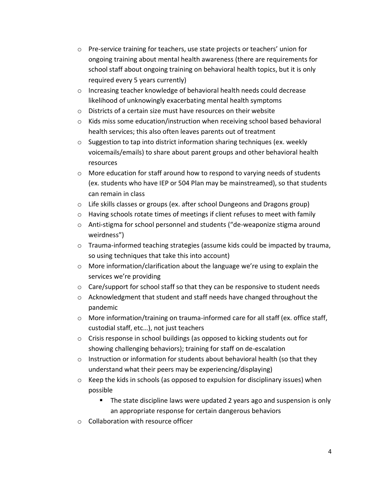- o Pre-service training for teachers, use state projects or teachers' union for ongoing training about mental health awareness (there are requirements for school staff about ongoing training on behavioral health topics, but it is only required every 5 years currently)
- o Increasing teacher knowledge of behavioral health needs could decrease likelihood of unknowingly exacerbating mental health symptoms
- o Districts of a certain size must have resources on their website
- o Kids miss some education/instruction when receiving school based behavioral health services; this also often leaves parents out of treatment
- $\circ$  Suggestion to tap into district information sharing techniques (ex. weekly voicemails/emails) to share about parent groups and other behavioral health resources
- $\circ$  More education for staff around how to respond to varying needs of students (ex. students who have IEP or 504 Plan may be mainstreamed), so that students can remain in class
- $\circ$  Life skills classes or groups (ex. after school Dungeons and Dragons group)
- $\circ$  Having schools rotate times of meetings if client refuses to meet with family
- o Anti-stigma for school personnel and students ("de-weaponize stigma around weirdness")
- $\circ$  Trauma-informed teaching strategies (assume kids could be impacted by trauma, so using techniques that take this into account)
- $\circ$  More information/clarification about the language we're using to explain the services we're providing
- o Care/support for school staff so that they can be responsive to student needs
- $\circ$  Acknowledgment that student and staff needs have changed throughout the pandemic
- $\circ$  More information/training on trauma-informed care for all staff (ex. office staff, custodial staff, etc…), not just teachers
- $\circ$  Crisis response in school buildings (as opposed to kicking students out for showing challenging behaviors); training for staff on de-escalation
- $\circ$  Instruction or information for students about behavioral health (so that they understand what their peers may be experiencing/displaying)
- $\circ$  Keep the kids in schools (as opposed to expulsion for disciplinary issues) when possible
	- **The state discipline laws were updated 2 years ago and suspension is only** an appropriate response for certain dangerous behaviors
- o Collaboration with resource officer